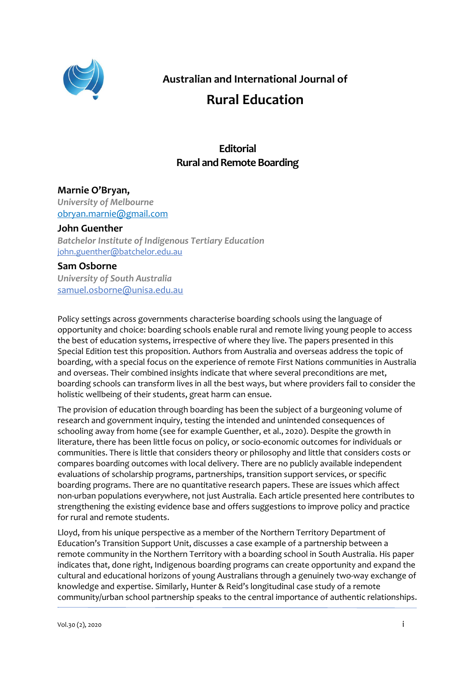

**Australian and International Journal of**

# **Rural Education**

## **Editorial Rural and Remote Boarding**

### **Marnie O'Bryan,**

*University of Melbourne* obryan.marnie@gmail.com

#### **John Guenther**

*Batchelor Institute of Indigenous Tertiary Education* [john.guenther@batchelor.edu.au](mailto:john.guenther@batchelor.edu.au)

#### **Sam Osborne**

*University of South Australia* [samuel.osborne@unisa.edu.au](mailto:samuel.osborne@unisa.edu.au)

Policy settings across governments characterise boarding schools using the language of opportunity and choice: boarding schools enable rural and remote living young people to access the best of education systems, irrespective of where they live. The papers presented in this Special Edition test this proposition. Authors from Australia and overseas address the topic of boarding, with a special focus on the experience of remote First Nations communities in Australia and overseas. Their combined insights indicate that where several preconditions are met, boarding schools can transform lives in all the best ways, but where providers fail to consider the holistic wellbeing of their students, great harm can ensue.

The provision of education through boarding has been the subject of a burgeoning volume of research and government inquiry, testing the intended and unintended consequences of schooling away from home (see for example Guenther, et al., 2020). Despite the growth in literature, there has been little focus on policy, or socio-economic outcomes for individuals or communities. There is little that considers theory or philosophy and little that considers costs or compares boarding outcomes with local delivery. There are no publicly available independent evaluations of scholarship programs, partnerships, transition support services, or specific boarding programs. There are no quantitative research papers. These are issues which affect non-urban populations everywhere, not just Australia. Each article presented here contributes to strengthening the existing evidence base and offers suggestions to improve policy and practice for rural and remote students.

Lloyd, from his unique perspective as a member of the Northern Territory Department of Education's Transition Support Unit, discusses a case example of a partnership between a remote community in the Northern Territory with a boarding school in South Australia. His paper indicates that, done right, Indigenous boarding programs can create opportunity and expand the cultural and educational horizons of young Australians through a genuinely two-way exchange of knowledge and expertise. Similarly, Hunter & Reid's longitudinal case study of a remote community/urban school partnership speaks to the central importance of authentic relationships.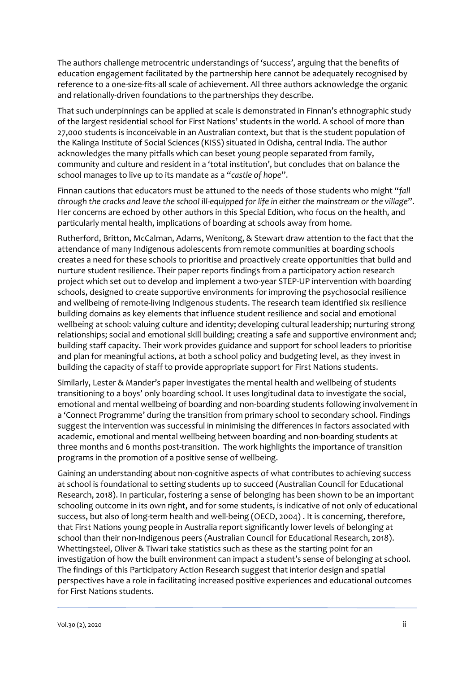The authors challenge metrocentric understandings of 'success', arguing that the benefits of education engagement facilitated by the partnership here cannot be adequately recognised by reference to a one-size-fits-all scale of achievement. All three authors acknowledge the organic and relationally-driven foundations to the partnerships they describe.

That such underpinnings can be applied at scale is demonstrated in Finnan's ethnographic study of the largest residential school for First Nations' students in the world. A school of more than 27,000 students is inconceivable in an Australian context, but that is the student population of the Kalinga Institute of Social Sciences (KISS) situated in Odisha, central India. The author acknowledges the many pitfalls which can beset young people separated from family, community and culture and resident in a 'total institution', but concludes that on balance the school manages to live up to its mandate as a "*castle of hope*".

Finnan cautions that educators must be attuned to the needs of those students who might "*fall through the cracks and leave the school ill-equipped for life in either the mainstream or the village*". Her concerns are echoed by other authors in this Special Edition, who focus on the health, and particularly mental health, implications of boarding at schools away from home.

Rutherford, Britton, McCalman, Adams, Wenitong, & Stewart draw attention to the fact that the attendance of many Indigenous adolescents from remote communities at boarding schools creates a need for these schools to prioritise and proactively create opportunities that build and nurture student resilience. Their paper reports findings from a participatory action research project which set out to develop and implement a two-year STEP-UP intervention with boarding schools, designed to create supportive environments for improving the psychosocial resilience and wellbeing of remote-living Indigenous students. The research team identified six resilience building domains as key elements that influence student resilience and social and emotional wellbeing at school: valuing culture and identity; developing cultural leadership; nurturing strong relationships; social and emotional skill building; creating a safe and supportive environment and; building staff capacity. Their work provides guidance and support for school leaders to prioritise and plan for meaningful actions, at both a school policy and budgeting level, as they invest in building the capacity of staff to provide appropriate support for First Nations students.

Similarly, Lester & Mander's paper investigates the mental health and wellbeing of students transitioning to a boys' only boarding school. It uses longitudinal data to investigate the social, emotional and mental wellbeing of boarding and non-boarding students following involvement in a 'Connect Programme' during the transition from primary school to secondary school. Findings suggest the intervention was successful in minimising the differences in factors associated with academic, emotional and mental wellbeing between boarding and non-boarding students at three months and 6 months post-transition. The work highlights the importance of transition programs in the promotion of a positive sense of wellbeing.

Gaining an understanding about non-cognitive aspects of what contributes to achieving success at school is foundational to setting students up to succeed (Australian Council for Educational Research, 2018). In particular, fostering a sense of belonging has been shown to be an important schooling outcome in its own right, and for some students, is indicative of not only of educational success, but also of long-term health and well-being (OECD, 2004) . It is concerning, therefore, that First Nations young people in Australia report significantly lower levels of belonging at school than their non-Indigenous peers (Australian Council for Educational Research, 2018). Whettingsteel, Oliver & Tiwari take statistics such as these as the starting point for an investigation of how the built environment can impact a student's sense of belonging at school. The findings of this Participatory Action Research suggest that interior design and spatial perspectives have a role in facilitating increased positive experiences and educational outcomes for First Nations students.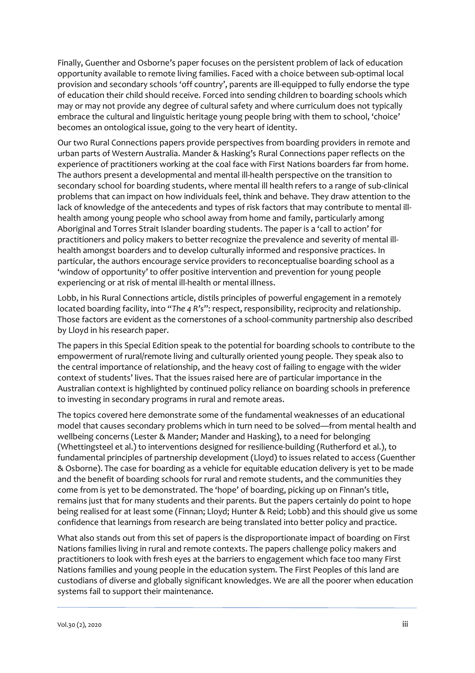Finally, Guenther and Osborne's paper focuses on the persistent problem of lack of education opportunity available to remote living families. Faced with a choice between sub-optimal local provision and secondary schools 'off country', parents are ill-equipped to fully endorse the type of education their child should receive. Forced into sending children to boarding schools which may or may not provide any degree of cultural safety and where curriculum does not typically embrace the cultural and linguistic heritage young people bring with them to school, 'choice' becomes an ontological issue, going to the very heart of identity.

Our two Rural Connections papers provide perspectives from boarding providers in remote and urban parts of Western Australia. Mander & Hasking's Rural Connections paper reflects on the experience of practitioners working at the coal face with First Nations boarders far from home. The authors present a developmental and mental ill-health perspective on the transition to secondary school for boarding students, where mental ill health refers to a range of sub-clinical problems that can impact on how individuals feel, think and behave. They draw attention to the lack of knowledge of the antecedents and types of risk factors that may contribute to mental illhealth among young people who school away from home and family, particularly among Aboriginal and Torres Strait Islander boarding students. The paper is a 'call to action' for practitioners and policy makers to better recognize the prevalence and severity of mental illhealth amongst boarders and to develop culturally informed and responsive practices. In particular, the authors encourage service providers to reconceptualise boarding school as a 'window of opportunity' to offer positive intervention and prevention for young people experiencing or at risk of mental ill-health or mental illness.

Lobb, in his Rural Connections article, distils principles of powerful engagement in a remotely located boarding facility, into "*The 4 R's*": respect, responsibility, reciprocity and relationship. Those factors are evident as the cornerstones of a school-community partnership also described by Lloyd in his research paper.

The papers in this Special Edition speak to the potential for boarding schools to contribute to the empowerment of rural/remote living and culturally oriented young people. They speak also to the central importance of relationship, and the heavy cost of failing to engage with the wider context of students' lives. That the issues raised here are of particular importance in the Australian context is highlighted by continued policy reliance on boarding schools in preference to investing in secondary programs in rural and remote areas.

The topics covered here demonstrate some of the fundamental weaknesses of an educational model that causes secondary problems which in turn need to be solved—from mental health and wellbeing concerns (Lester & Mander; Mander and Hasking), to a need for belonging (Whettingsteel et al.) to interventions designed for resilience-building (Rutherford et al.), to fundamental principles of partnership development (Lloyd) to issues related to access (Guenther & Osborne). The case for boarding as a vehicle for equitable education delivery is yet to be made and the benefit of boarding schools for rural and remote students, and the communities they come from is yet to be demonstrated. The 'hope' of boarding, picking up on Finnan's title, remains just that for many students and their parents. But the papers certainly do point to hope being realised for at least some (Finnan; Lloyd; Hunter & Reid; Lobb) and this should give us some confidence that learnings from research are being translated into better policy and practice.

What also stands out from this set of papers is the disproportionate impact of boarding on First Nations families living in rural and remote contexts. The papers challenge policy makers and practitioners to look with fresh eyes at the barriers to engagement which face too many First Nations families and young people in the education system. The First Peoples of this land are custodians of diverse and globally significant knowledges. We are all the poorer when education systems fail to support their maintenance.